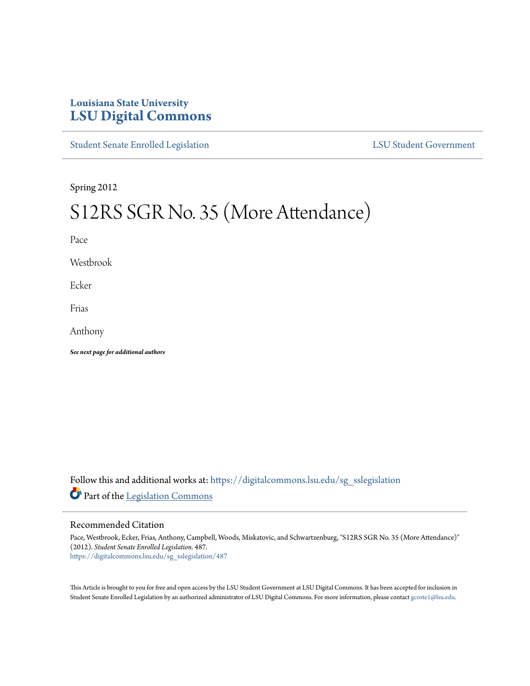# **Louisiana State University [LSU Digital Commons](https://digitalcommons.lsu.edu?utm_source=digitalcommons.lsu.edu%2Fsg_sslegislation%2F487&utm_medium=PDF&utm_campaign=PDFCoverPages)**

[Student Senate Enrolled Legislation](https://digitalcommons.lsu.edu/sg_sslegislation?utm_source=digitalcommons.lsu.edu%2Fsg_sslegislation%2F487&utm_medium=PDF&utm_campaign=PDFCoverPages) [LSU Student Government](https://digitalcommons.lsu.edu/sg?utm_source=digitalcommons.lsu.edu%2Fsg_sslegislation%2F487&utm_medium=PDF&utm_campaign=PDFCoverPages)

Spring 2012

# S12RS SGR No. 35 (More Attendance)

Pace

Westbrook

Ecker

Frias

Anthony

*See next page for additional authors*

Follow this and additional works at: [https://digitalcommons.lsu.edu/sg\\_sslegislation](https://digitalcommons.lsu.edu/sg_sslegislation?utm_source=digitalcommons.lsu.edu%2Fsg_sslegislation%2F487&utm_medium=PDF&utm_campaign=PDFCoverPages) Part of the [Legislation Commons](http://network.bepress.com/hgg/discipline/859?utm_source=digitalcommons.lsu.edu%2Fsg_sslegislation%2F487&utm_medium=PDF&utm_campaign=PDFCoverPages)

#### Recommended Citation

Pace, Westbrook, Ecker, Frias, Anthony, Campbell, Woods, Miskatovic, and Schwartzenburg, "S12RS SGR No. 35 (More Attendance)" (2012). *Student Senate Enrolled Legislation*. 487. [https://digitalcommons.lsu.edu/sg\\_sslegislation/487](https://digitalcommons.lsu.edu/sg_sslegislation/487?utm_source=digitalcommons.lsu.edu%2Fsg_sslegislation%2F487&utm_medium=PDF&utm_campaign=PDFCoverPages)

This Article is brought to you for free and open access by the LSU Student Government at LSU Digital Commons. It has been accepted for inclusion in Student Senate Enrolled Legislation by an authorized administrator of LSU Digital Commons. For more information, please contact [gcoste1@lsu.edu.](mailto:gcoste1@lsu.edu)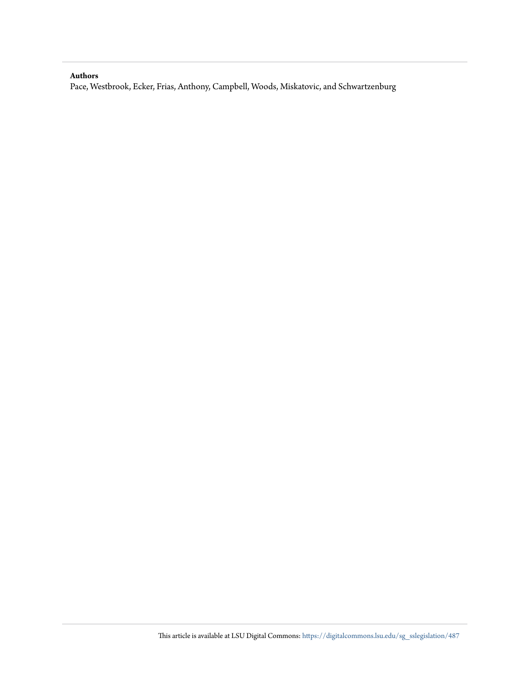#### **Authors**

Pace, Westbrook, Ecker, Frias, Anthony, Campbell, Woods, Miskatovic, and Schwartzenburg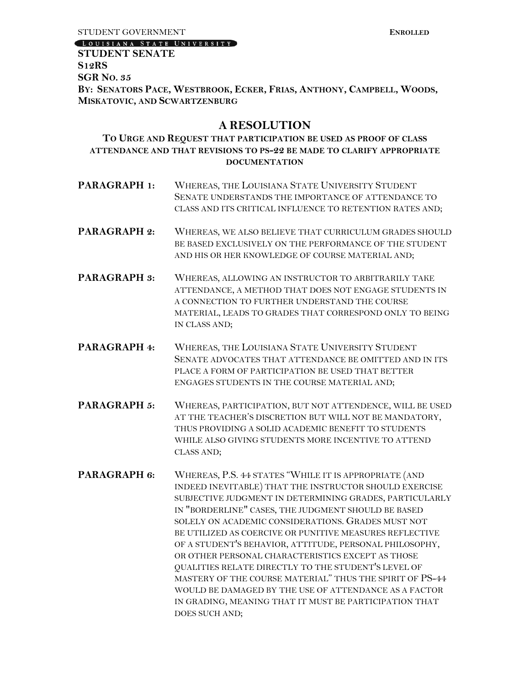[LOUISIANA STATE UNIVERSITY]

## **STUDENT SENATE S12RS SGR NO. 35** BY: SENATORS PACE, WESTBROOK, ECKER, FRIAS, ANTHONY, CAMPBELL, WOODS, **MISKATOVIC, AND SCWARTZENBURG**

# **A RESOLUTION**

### **TO URGE AND REQUEST THAT PARTICIPATION BE USED AS PROOF OF CLASS ATTENDANCE AND THAT REVISIONS TO PS-22 BE MADE TO CLARIFY APPROPRIATE DOCUMENTATION**

- **PARAGRAPH 1:** WHEREAS, THE LOUISIANA STATE UNIVERSITY STUDENT SENATE UNDERSTANDS THE IMPORTANCE OF ATTENDANCE TO CLASS AND ITS CRITICAL INFLUENCE TO RETENTION RATES AND;
- PARAGRAPH 2: WHEREAS, WE ALSO BELIEVE THAT CURRICULUM GRADES SHOULD BE BASED EXCLUSIVELY ON THE PERFORMANCE OF THE STUDENT AND HIS OR HER KNOWLEDGE OF COURSE MATERIAL AND;
- **PARAGRAPH 3:** WHEREAS, ALLOWING AN INSTRUCTOR TO ARBITRARILY TAKE ATTENDANCE, A METHOD THAT DOES NOT ENGAGE STUDENTS IN A CONNECTION TO FURTHER UNDERSTAND THE COURSE MATERIAL, LEADS TO GRADES THAT CORRESPOND ONLY TO BEING IN CLASS AND;
- **PARAGRAPH 4:** WHEREAS, THE LOUISIANA STATE UNIVERSITY STUDENT SENATE ADVOCATES THAT ATTENDANCE BE OMITTED AND IN ITS PLACE A FORM OF PARTICIPATION BE USED THAT BETTER ENGAGES STUDENTS IN THE COURSE MATERIAL AND;
- PARAGRAPH 5: WHEREAS, PARTICIPATION, BUT NOT ATTENDENCE, WILL BE USED AT THE TEACHER'S DISCRETION BUT WILL NOT BE MANDATORY, THUS PROVIDING A SOLID ACADEMIC BENEFIT TO STUDENTS WHILE ALSO GIVING STUDENTS MORE INCENTIVE TO ATTEND CLASS AND;
- **PARAGRAPH 6:** WHEREAS, P.S. 44 STATES "WHILE IT IS APPROPRIATE (AND INDEED INEVITABLE) THAT THE INSTRUCTOR SHOULD EXERCISE SUBJECTIVE JUDGMENT IN DETERMINING GRADES, PARTICULARLY IN "BORDERLINE" CASES, THE JUDGMENT SHOULD BE BASED SOLELY ON ACADEMIC CONSIDERATIONS. GRADES MUST NOT BE UTILIZED AS COERCIVE OR PUNITIVE MEASURES REFLECTIVE OF A STUDENT'S BEHAVIOR, ATTITUDE, PERSONAL PHILOSOPHY, OR OTHER PERSONAL CHARACTERISTICS EXCEPT AS THOSE QUALITIES RELATE DIRECTLY TO THE STUDENT'S LEVEL OF MASTERY OF THE COURSE MATERIAL" THUS THE SPIRIT OF PS-44 WOULD BE DAMAGED BY THE USE OF ATTENDANCE AS A FACTOR IN GRADING, MEANING THAT IT MUST BE PARTICIPATION THAT DOES SUCH AND;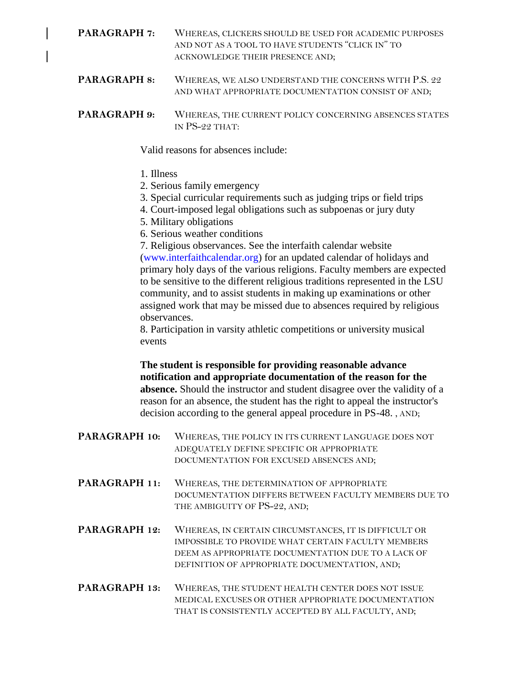**PARAGRAPH 7:** WHEREAS, CLICKERS SHOULD BE USED FOR ACADEMIC PURPOSES AND NOT AS A TOOL TO HAVE STUDENTS "CLICK IN" TO ACKNOWLEDGE THEIR PRESENCE AND;

**PARAGRAPH 8:** WHEREAS, WE ALSO UNDERSTAND THE CONCERNS WITH P.S. 22 AND WHAT APPROPRIATE DOCUMENTATION CONSIST OF AND;

**PARAGRAPH 9:** WHEREAS, THE CURRENT POLICY CONCERNING ABSENCES STATES IN PS-22 THAT:

Valid reasons for absences include:

- 1. Illness
- 2. Serious family emergency
- 3. Special curricular requirements such as judging trips or field trips
- 4. Court-imposed legal obligations such as subpoenas or jury duty
- 5. Military obligations
- 6. Serious weather conditions

7. Religious observances. See the interfaith calendar website (www.interfaithcalendar.org) for an updated calendar of holidays and primary holy days of the various religions. Faculty members are expected to be sensitive to the different religious traditions represented in the LSU community, and to assist students in making up examinations or other assigned work that may be missed due to absences required by religious observances.

8. Participation in varsity athletic competitions or university musical events

**The student is responsible for providing reasonable advance notification and appropriate documentation of the reason for the absence.** Should the instructor and student disagree over the validity of a reason for an absence, the student has the right to appeal the instructor's decision according to the general appeal procedure in PS-48. , AND;

- **PARAGRAPH 10:** WHEREAS, THE POLICY IN ITS CURRENT LANGUAGE DOES NOT ADEQUATELY DEFINE SPECIFIC OR APPROPRIATE DOCUMENTATION FOR EXCUSED ABSENCES AND;
- **PARAGRAPH 11:** WHEREAS, THE DETERMINATION OF APPROPRIATE DOCUMENTATION DIFFERS BETWEEN FACULTY MEMBERS DUE TO THE AMBIGUITY OF PS-22, AND;
- **PARAGRAPH 12:** WHEREAS, IN CERTAIN CIRCUMSTANCES, IT IS DIFFICULT OR IMPOSSIBLE TO PROVIDE WHAT CERTAIN FACULTY MEMBERS DEEM AS APPROPRIATE DOCUMENTATION DUE TO A LACK OF DEFINITION OF APPROPRIATE DOCUMENTATION, AND;
- **PARAGRAPH 13:** WHEREAS, THE STUDENT HEALTH CENTER DOES NOT ISSUE MEDICAL EXCUSES OR OTHER APPROPRIATE DOCUMENTATION THAT IS CONSISTENTLY ACCEPTED BY ALL FACULTY, AND;